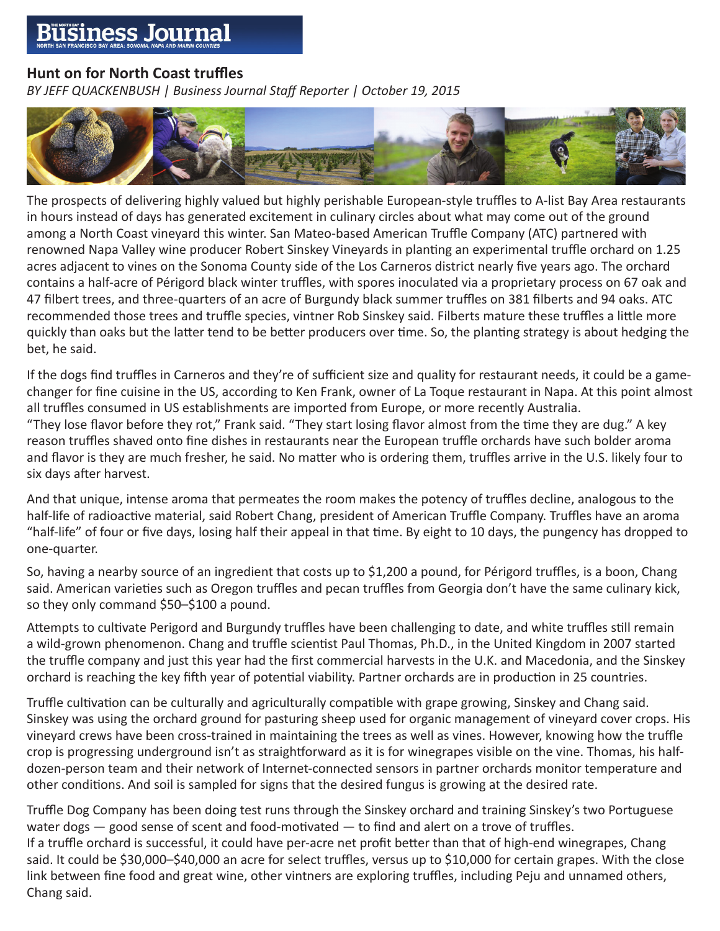## siness Journa

## **Hunt on for North Coast truffles**

*BY JEFF QUACKENBUSH | Business Journal Staff Reporter | October 19, 2015*



The prospects of delivering highly valued but highly perishable European-style truffles to A-list Bay Area restaurants in hours instead of days has generated excitement in culinary circles about what may come out of the ground among a North Coast vineyard this winter. San Mateo-based American Truffle Company (ATC) partnered with renowned Napa Valley wine producer Robert Sinskey Vineyards in planting an experimental truffle orchard on 1.25 acres adjacent to vines on the Sonoma County side of the Los Carneros district nearly five years ago. The orchard contains a half-acre of Périgord black winter truffles, with spores inoculated via a proprietary process on 67 oak and 47 filbert trees, and three-quarters of an acre of Burgundy black summer truffles on 381 filberts and 94 oaks. ATC recommended those trees and truffle species, vintner Rob Sinskey said. Filberts mature these truffles a little more quickly than oaks but the latter tend to be better producers over time. So, the planting strategy is about hedging the bet, he said.

If the dogs find truffles in Carneros and they're of sufficient size and quality for restaurant needs, it could be a gamechanger for fine cuisine in the US, according to Ken Frank, owner of La Toque restaurant in Napa. At this point almost all truffles consumed in US establishments are imported from Europe, or more recently Australia.

"They lose flavor before they rot," Frank said. "They start losing flavor almost from the time they are dug." A key reason truffles shaved onto fine dishes in restaurants near the European truffle orchards have such bolder aroma and flavor is they are much fresher, he said. No matter who is ordering them, truffles arrive in the U.S. likely four to six days after harvest.

And that unique, intense aroma that permeates the room makes the potency of truffles decline, analogous to the half-life of radioactive material, said Robert Chang, president of American Truffle Company. Truffles have an aroma "half-life" of four or five days, losing half their appeal in that time. By eight to 10 days, the pungency has dropped to one-quarter.

So, having a nearby source of an ingredient that costs up to \$1,200 a pound, for Périgord truffles, is a boon, Chang said. American varieties such as Oregon truffles and pecan truffles from Georgia don't have the same culinary kick, so they only command \$50–\$100 a pound.

Attempts to cultivate Perigord and Burgundy truffles have been challenging to date, and white truffles still remain a wild-grown phenomenon. Chang and truffle scientist Paul Thomas, Ph.D., in the United Kingdom in 2007 started the truffle company and just this year had the first commercial harvests in the U.K. and Macedonia, and the Sinskey orchard is reaching the key fifth year of potential viability. Partner orchards are in production in 25 countries.

Truffle cultivation can be culturally and agriculturally compatible with grape growing, Sinskey and Chang said. Sinskey was using the orchard ground for pasturing sheep used for organic management of vineyard cover crops. His vineyard crews have been cross-trained in maintaining the trees as well as vines. However, knowing how the truffle crop is progressing underground isn't as straightforward as it is for winegrapes visible on the vine. Thomas, his halfdozen-person team and their network of Internet-connected sensors in partner orchards monitor temperature and other conditions. And soil is sampled for signs that the desired fungus is growing at the desired rate.

Truffle Dog Company has been doing test runs through the Sinskey orchard and training Sinskey's two Portuguese water dogs - good sense of scent and food-motivated - to find and alert on a trove of truffles. If a truffle orchard is successful, it could have per-acre net profit better than that of high-end winegrapes, Chang said. It could be \$30,000–\$40,000 an acre for select truffles, versus up to \$10,000 for certain grapes. With the close link between fine food and great wine, other vintners are exploring truffles, including Peju and unnamed others, Chang said.